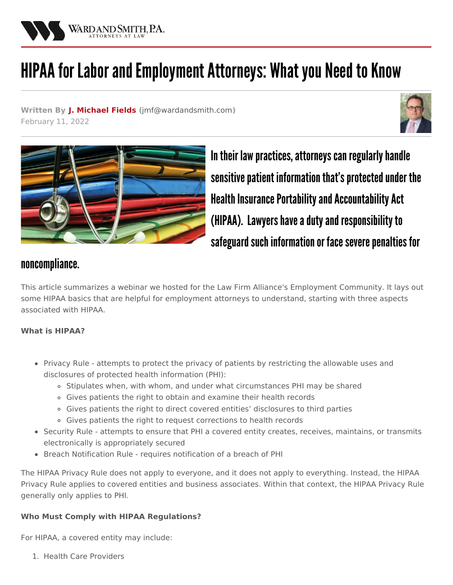

# HIPAA for Labor and Employment Attorneys: What you Need to Know

**Written By J. [Michael](/attorneys/michael-fields) Fields (**[jmf@wardandsmith.com](mailto:jmf@wardandsmith.com)**)** February 11, 2022





In their law practices, attorneys can regularly handle sensitive patient information that's protected under the Health Insurance Portability and Accountability Act (HIPAA). Lawyers have a duty and responsibility to safeguard such information or face severe penalties for

# noncompliance.

This article summarizes a webinar we hosted for the Law Firm Alliance's Employment Community. It lays out some HIPAA basics that are helpful for employment attorneys to understand, starting with three aspects associated with HIPAA.

## **What is HIPAA?**

- Privacy Rule attempts to protect the privacy of patients by restricting the allowable uses and disclosures of protected health information (PHI):
	- o Stipulates when, with whom, and under what circumstances PHI may be shared
	- Gives patients the right to obtain and examine their health records
	- Gives patients the right to direct covered entities' disclosures to third parties
	- Gives patients the right to request corrections to health records
- Security Rule attempts to ensure that PHI a covered entity creates, receives, maintains, or transmits electronically is appropriately secured
- Breach Notification Rule requires notification of a breach of PHI

The HIPAA Privacy Rule does not apply to everyone, and it does not apply to everything. Instead, the HIPAA Privacy Rule applies to covered entities and business associates. Within that context, the HIPAA Privacy Rule generally only applies to PHI.

## **Who Must Comply with HIPAA Regulations?**

For HIPAA, a covered entity may include:

1. Health Care Providers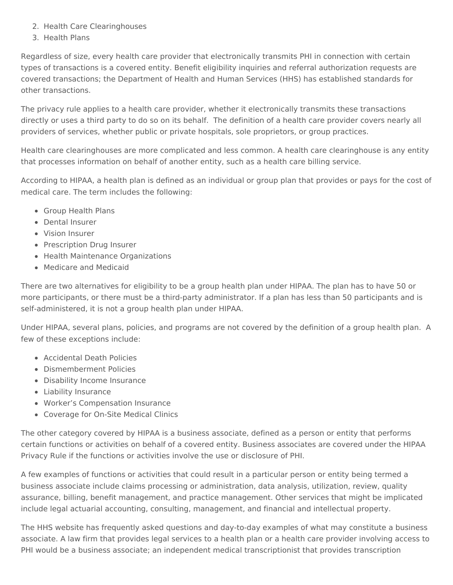- 2. Health Care Clearinghouses
- 3. Health Plans

Regardless of size, every health care provider that electronically transmits PHI in connection with certain types of transactions is a covered entity. Benefit eligibility inquiries and referral authorization requests are covered transactions; the Department of Health and Human Services (HHS) has established standards for other transactions.

The privacy rule applies to a health care provider, whether it electronically transmits these transactions directly or uses a third party to do so on its behalf. The definition of a health care provider covers nearly all providers of services, whether public or private hospitals, sole proprietors, or group practices.

Health care clearinghouses are more complicated and less common. A health care clearinghouse is any entity that processes information on behalf of another entity, such as a health care billing service.

According to HIPAA, a health plan is defined as an individual or group plan that provides or pays for the cost of medical care. The term includes the following:

- Group Health Plans
- Dental Insurer
- Vision Insurer
- Prescription Drug Insurer
- Health Maintenance Organizations
- Medicare and Medicaid

There are two alternatives for eligibility to be a group health plan under HIPAA. The plan has to have 50 or more participants, or there must be a third-party administrator. If a plan has less than 50 participants and is self-administered, it is not a group health plan under HIPAA.

Under HIPAA, several plans, policies, and programs are not covered by the definition of a group health plan. A few of these exceptions include:

- Accidental Death Policies
- Dismemberment Policies
- Disability Income Insurance
- Liability Insurance
- Worker's Compensation Insurance
- Coverage for On-Site Medical Clinics

The other category covered by HIPAA is a business associate, defined as a person or entity that performs certain functions or activities on behalf of a covered entity. Business associates are covered under the HIPAA Privacy Rule if the functions or activities involve the use or disclosure of PHI.

A few examples of functions or activities that could result in a particular person or entity being termed a business associate include claims processing or administration, data analysis, utilization, review, quality assurance, billing, benefit management, and practice management. Other services that might be implicated include legal actuarial accounting, consulting, management, and financial and intellectual property.

The HHS website has frequently asked questions and day-to-day examples of what may constitute a business associate. A law firm that provides legal services to a health plan or a health care provider involving access to PHI would be a business associate; an independent medical transcriptionist that provides transcription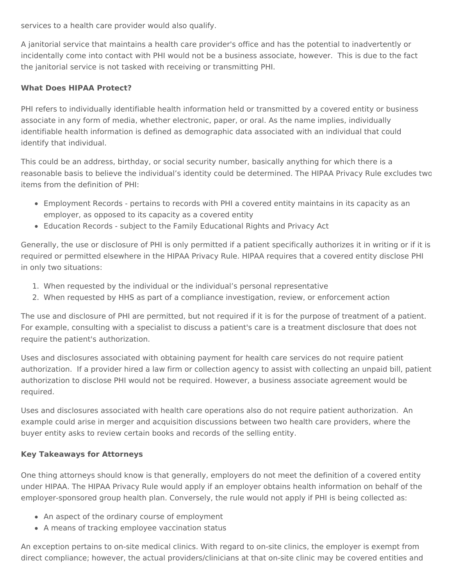services to a health care provider would also qualify.

A janitorial service that maintains a health care provider's office and has the potential to inadvertently or incidentally come into contact with PHI would not be a business associate, however. This is due to the fact the janitorial service is not tasked with receiving or transmitting PHI.

#### **What Does HIPAA Protect?**

PHI refers to individually identifiable health information held or transmitted by a covered entity or business associate in any form of media, whether electronic, paper, or oral. As the name implies, individually identifiable health information is defined as demographic data associated with an individual that could identify that individual.

This could be an address, birthday, or social security number, basically anything for which there is a reasonable basis to believe the individual's identity could be determined. The HIPAA Privacy Rule excludes two items from the definition of PHI:

- Employment Records pertains to records with PHI a covered entity maintains in its capacity as an employer, as opposed to its capacity as a covered entity
- Education Records subject to the Family Educational Rights and Privacy Act

Generally, the use or disclosure of PHI is only permitted if a patient specifically authorizes it in writing or if it is required or permitted elsewhere in the HIPAA Privacy Rule. HIPAA requires that a covered entity disclose PHI in only two situations:

- 1. When requested by the individual or the individual's personal representative
- 2. When requested by HHS as part of a compliance investigation, review, or enforcement action

The use and disclosure of PHI are permitted, but not required if it is for the purpose of treatment of a patient. For example, consulting with a specialist to discuss a patient's care is a treatment disclosure that does not require the patient's authorization.

Uses and disclosures associated with obtaining payment for health care services do not require patient authorization. If a provider hired a law firm or collection agency to assist with collecting an unpaid bill, patient authorization to disclose PHI would not be required. However, a business associate agreement would be required.

Uses and disclosures associated with health care operations also do not require patient authorization. An example could arise in merger and acquisition discussions between two health care providers, where the buyer entity asks to review certain books and records of the selling entity.

#### **Key Takeaways for Attorneys**

One thing attorneys should know is that generally, employers do not meet the definition of a covered entity under HIPAA. The HIPAA Privacy Rule would apply if an employer obtains health information on behalf of the employer-sponsored group health plan. Conversely, the rule would not apply if PHI is being collected as:

- An aspect of the ordinary course of employment
- A means of tracking employee vaccination status

An exception pertains to on-site medical clinics. With regard to on-site clinics, the employer is exempt from direct compliance; however, the actual providers/clinicians at that on-site clinic may be covered entities and